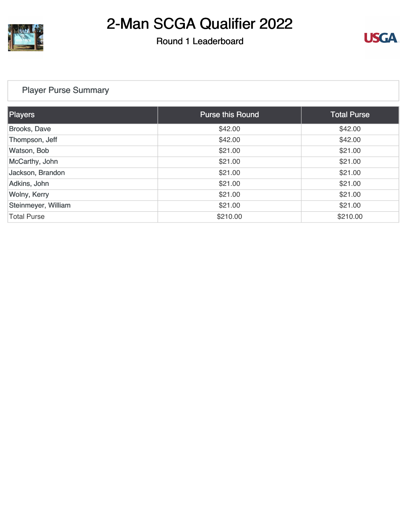

## Round 1 Leaderboard



## [Player Purse Summary](https://static.golfgenius.com/v2tournaments/total_purse?league_id=8472549699927163642&round_id=8472549840016917011)

| <b>Players</b>      | <b>Purse this Round</b> | <b>Total Purse</b> |
|---------------------|-------------------------|--------------------|
| Brooks, Dave        | \$42.00                 | \$42.00            |
| Thompson, Jeff      | \$42.00                 | \$42.00            |
| Watson, Bob         | \$21.00                 | \$21.00            |
| McCarthy, John      | \$21.00                 | \$21.00            |
| Jackson, Brandon    | \$21.00                 | \$21.00            |
| Adkins, John        | \$21.00                 | \$21.00            |
| <b>Wolny, Kerry</b> | \$21.00                 | \$21.00            |
| Steinmeyer, William | \$21.00                 | \$21.00            |
| <b>Total Purse</b>  | \$210.00                | \$210.00           |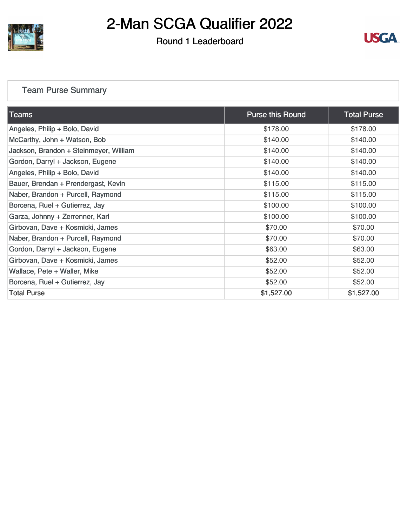

## Round 1 Leaderboard



## [Team Purse Summary](https://static.golfgenius.com/v2tournaments/team_purse?league_id=8472549699927163642&round_id=8472549840016917011)

| Teams                                  | <b>Purse this Round</b> | <b>Total Purse</b> |
|----------------------------------------|-------------------------|--------------------|
| Angeles, Philip + Bolo, David          | \$178.00                | \$178.00           |
| McCarthy, John + Watson, Bob           | \$140.00                | \$140.00           |
| Jackson, Brandon + Steinmeyer, William | \$140.00                | \$140.00           |
| Gordon, Darryl + Jackson, Eugene       | \$140.00                | \$140.00           |
| Angeles, Philip + Bolo, David          | \$140.00                | \$140.00           |
| Bauer, Brendan + Prendergast, Kevin    | \$115.00                | \$115.00           |
| Naber, Brandon + Purcell, Raymond      | \$115.00                | \$115.00           |
| Borcena, Ruel + Gutierrez, Jay         | \$100.00                | \$100.00           |
| Garza, Johnny + Zerrenner, Karl        | \$100.00                | \$100.00           |
| Girbovan, Dave + Kosmicki, James       | \$70.00                 | \$70.00            |
| Naber, Brandon + Purcell, Raymond      | \$70.00                 | \$70.00            |
| Gordon, Darryl + Jackson, Eugene       | \$63.00                 | \$63.00            |
| Girbovan, Dave + Kosmicki, James       | \$52.00                 | \$52.00            |
| Wallace, Pete + Waller, Mike           | \$52.00                 | \$52.00            |
| Borcena, Ruel + Gutierrez, Jay         | \$52.00                 | \$52.00            |
| <b>Total Purse</b>                     | \$1,527.00              | \$1,527.00         |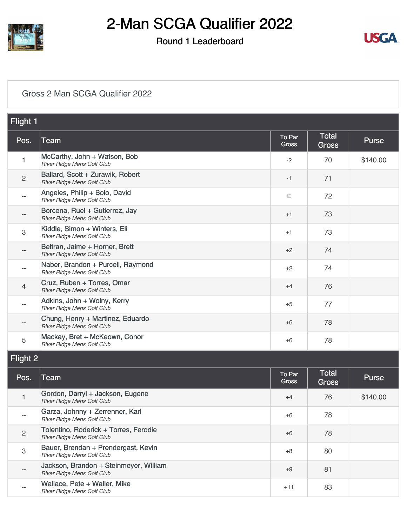

## Round 1 Leaderboard



#### [Gross 2 Man SCGA Qualifier 2022](https://static.golfgenius.com/v2tournaments/8472549918064526317?called_from=&round_index=1)

| Flight 1          |                                                                      |                        |                              |              |  |
|-------------------|----------------------------------------------------------------------|------------------------|------------------------------|--------------|--|
| Pos.              | <b>Team</b>                                                          | To Par<br><b>Gross</b> | <b>Total</b><br><b>Gross</b> | <b>Purse</b> |  |
| 1                 | McCarthy, John + Watson, Bob<br>River Ridge Mens Golf Club           | $-2$                   | 70                           | \$140.00     |  |
| $\overline{c}$    | Ballard, Scott + Zurawik, Robert<br>River Ridge Mens Golf Club       | -1                     | 71                           |              |  |
| $\qquad \qquad -$ | Angeles, Philip + Bolo, David<br>River Ridge Mens Golf Club          | E                      | 72                           |              |  |
|                   | Borcena, Ruel + Gutierrez, Jay<br>River Ridge Mens Golf Club         | $+1$                   | 73                           |              |  |
| 3                 | Kiddle, Simon + Winters, Eli<br>River Ridge Mens Golf Club           | $+1$                   | 73                           |              |  |
| --                | Beltran, Jaime + Horner, Brett<br>River Ridge Mens Golf Club         | $+2$                   | 74                           |              |  |
| $\qquad \qquad -$ | Naber, Brandon + Purcell, Raymond<br>River Ridge Mens Golf Club      | $+2$                   | 74                           |              |  |
| 4                 | Cruz, Ruben + Torres, Omar<br>River Ridge Mens Golf Club             | $+4$                   | 76                           |              |  |
| $-$               | Adkins, John + Wolny, Kerry<br>River Ridge Mens Golf Club            | $+5$                   | 77                           |              |  |
| --                | Chung, Henry + Martinez, Eduardo<br>River Ridge Mens Golf Club       | +6                     | 78                           |              |  |
| 5                 | Mackay, Bret + McKeown, Conor<br>River Ridge Mens Golf Club          | +6                     | 78                           |              |  |
| <b>Flight 2</b>   |                                                                      |                        |                              |              |  |
| Pos.              | Team                                                                 | To Par<br>Gross        | <b>Total</b><br>Gross        | Purse        |  |
| 1                 | Gordon, Darryl + Jackson, Eugene<br>River Ridge Mens Golf Club       | $+4$                   | 76                           | \$140.00     |  |
| --                | Garza, Johnny + Zerrenner, Karl<br>River Ridge Mens Golf Club        | $+6$                   | 78                           |              |  |
| $\overline{c}$    | Tolentino, Roderick + Torres, Ferodie<br>River Ridge Mens Golf Club  | $+6$                   | 78                           |              |  |
| 3                 | Bauer, Brendan + Prendergast, Kevin<br>River Ridge Mens Golf Club    | $+8$                   | 80                           |              |  |
|                   | Jackson, Brandon + Steinmeyer, William<br>River Ridge Mens Golf Club | $+9$                   | 81                           |              |  |
| --                | Wallace, Pete + Waller, Mike<br>River Ridge Mens Golf Club           | $+11$                  | 83                           |              |  |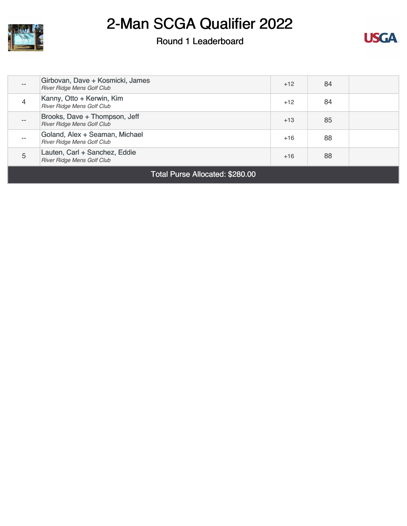

### Round 1 Leaderboard



| $- -$ | Girbovan, Dave + Kosmicki, James<br>River Ridge Mens Golf Club     | $+12$ | 84 |  |
|-------|--------------------------------------------------------------------|-------|----|--|
| 4     | Kanny, Otto + Kerwin, Kim<br>River Ridge Mens Golf Club            | $+12$ | 84 |  |
| $- -$ | Brooks, Dave + Thompson, Jeff<br><b>River Ridge Mens Golf Club</b> | $+13$ | 85 |  |
| $- -$ | Goland, Alex + Seaman, Michael<br>River Ridge Mens Golf Club       | $+16$ | 88 |  |
| 5     | Lauten, Carl + Sanchez, Eddie<br>River Ridge Mens Golf Club        | $+16$ | 88 |  |
|       |                                                                    |       |    |  |

Total Purse Allocated: \$280.00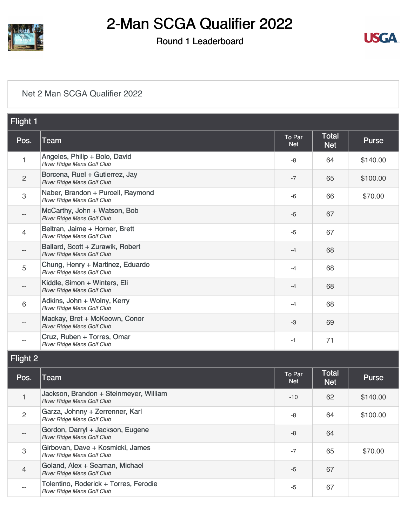

### Round 1 Leaderboard



#### [Net 2 Man SCGA Qualifier 2022](https://static.golfgenius.com/v2tournaments/8472549920883098606?called_from=&round_index=1)

| Flight 1       |                                                                      |                      |                            |              |  |
|----------------|----------------------------------------------------------------------|----------------------|----------------------------|--------------|--|
| Pos.           | Team                                                                 | To Par<br><b>Net</b> | <b>Total</b><br><b>Net</b> | <b>Purse</b> |  |
| 1              | Angeles, Philip + Bolo, David<br>River Ridge Mens Golf Club          | -8                   | 64                         | \$140.00     |  |
| $\overline{c}$ | Borcena, Ruel + Gutierrez, Jay<br>River Ridge Mens Golf Club         | $-7$                 | 65                         | \$100.00     |  |
| 3              | Naber, Brandon + Purcell, Raymond<br>River Ridge Mens Golf Club      | -6                   | 66                         | \$70.00      |  |
|                | McCarthy, John + Watson, Bob<br>River Ridge Mens Golf Club           | $-5$                 | 67                         |              |  |
| 4              | Beltran, Jaime + Horner, Brett<br>River Ridge Mens Golf Club         | $-5$                 | 67                         |              |  |
| $- -$          | Ballard, Scott + Zurawik, Robert<br>River Ridge Mens Golf Club       | $-4$                 | 68                         |              |  |
| 5              | Chung, Henry + Martinez, Eduardo<br>River Ridge Mens Golf Club       | $-4$                 | 68                         |              |  |
|                | Kiddle, Simon + Winters, Eli<br>River Ridge Mens Golf Club           | $-4$                 | 68                         |              |  |
| 6              | Adkins, John + Wolny, Kerry<br>River Ridge Mens Golf Club            | $-4$                 | 68                         |              |  |
|                | Mackay, Bret + McKeown, Conor<br>River Ridge Mens Golf Club          | $-3$                 | 69                         |              |  |
| $- -$          | Cruz, Ruben + Torres, Omar<br>River Ridge Mens Golf Club             | $-1$                 | 71                         |              |  |
| Flight 2       |                                                                      |                      |                            |              |  |
| Pos.           | Team                                                                 | To Par<br><b>Net</b> | <b>Total</b><br><b>Net</b> | <b>Purse</b> |  |
| 1              | Jackson, Brandon + Steinmeyer, William<br>River Ridge Mens Golf Club | $-10$                | 62                         | \$140.00     |  |
| $\overline{c}$ | Garza, Johnny + Zerrenner, Karl<br>River Ridge Mens Golf Club        | -8                   | 64                         | \$100.00     |  |
|                | Gordon, Darryl + Jackson, Eugene<br>River Ridge Mens Golf Club       | -8                   | 64                         |              |  |
| 3              | Girbovan, Dave + Kosmicki, James<br>River Ridge Mens Golf Club       | $-7$                 | 65                         | \$70.00      |  |
| 4              | Goland, Alex + Seaman, Michael<br>River Ridge Mens Golf Club         | $-5$                 | 67                         |              |  |
| --             | Tolentino, Roderick + Torres, Ferodie<br>River Ridge Mens Golf Club  | $-5$                 | 67                         |              |  |